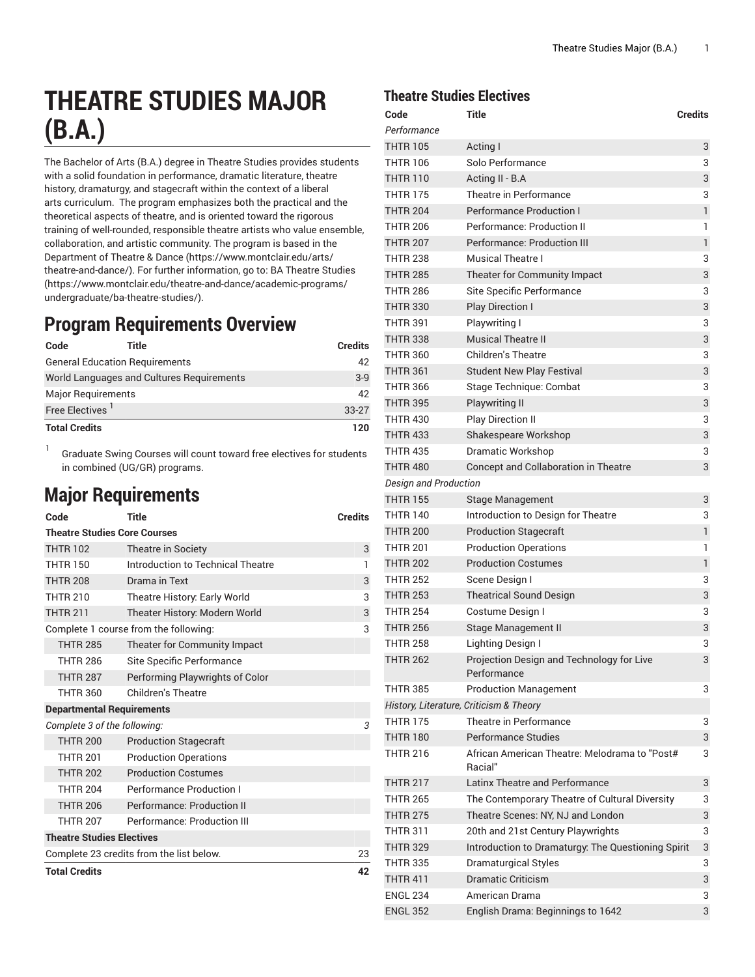# **THEATRE STUDIES MAJOR (B.A.)**

The Bachelor of Arts (B.A.) degree in Theatre Studies provides students with a solid foundation in performance, dramatic literature, theatre history, dramaturgy, and stagecraft within the context of a liberal arts curriculum. The program emphasizes both the practical and the theoretical aspects of theatre, and is oriented toward the rigorous training of well-rounded, responsible theatre artists who value ensemble, collaboration, and artistic community. The program is based in the [Department](https://www.montclair.edu/arts/theatre-and-dance/) of Theatre & Dance ([https://www.montclair.edu/arts/](https://www.montclair.edu/arts/theatre-and-dance/) [theatre-and-dance/\)](https://www.montclair.edu/arts/theatre-and-dance/). For further information, go to: BA [Theatre](https://www.montclair.edu/theatre-and-dance/academic-programs/undergraduate/ba-theatre-studies/) Studies ([https://www.montclair.edu/theatre-and-dance/academic-programs/](https://www.montclair.edu/theatre-and-dance/academic-programs/undergraduate/ba-theatre-studies/) [undergraduate/ba-theatre-studies/\)](https://www.montclair.edu/theatre-and-dance/academic-programs/undergraduate/ba-theatre-studies/).

#### **Program Requirements Overview**

| Code                        | Title                                     | <b>Credits</b> |
|-----------------------------|-------------------------------------------|----------------|
|                             | <b>General Education Requirements</b>     | 42             |
|                             | World Languages and Cultures Reguirements | $3-9$          |
| <b>Major Requirements</b>   |                                           | 42             |
| Free Electives <sup>1</sup> |                                           | $33-27$        |
| <b>Total Credits</b>        |                                           | 120            |

1 Graduate Swing Courses will count toward free electives for students in combined (UG/GR) programs.

## **Major Requirements**

| Code                                     | Title                                 | <b>Credits</b> |
|------------------------------------------|---------------------------------------|----------------|
| <b>Theatre Studies Core Courses</b>      |                                       |                |
| <b>THTR 102</b>                          | Theatre in Society                    | 3              |
| <b>THTR 150</b>                          | Introduction to Technical Theatre     | 1              |
| <b>THTR 208</b>                          | Drama in Text                         | 3              |
| <b>THTR 210</b>                          | Theatre History: Early World          | 3              |
| <b>THTR 211</b>                          | Theater History: Modern World         | 3              |
|                                          | Complete 1 course from the following: | 3              |
| <b>THTR 285</b>                          | Theater for Community Impact          |                |
| <b>THTR 286</b>                          | Site Specific Performance             |                |
| <b>THTR 287</b>                          | Performing Playwrights of Color       |                |
| <b>THTR 360</b>                          | Children's Theatre                    |                |
| <b>Departmental Requirements</b>         |                                       |                |
| Complete 3 of the following:             |                                       | 3              |
| <b>THTR 200</b>                          | <b>Production Stagecraft</b>          |                |
| <b>THTR 201</b>                          | <b>Production Operations</b>          |                |
| <b>THTR 202</b>                          | <b>Production Costumes</b>            |                |
| <b>THTR 204</b>                          | <b>Performance Production I</b>       |                |
| <b>THTR 206</b>                          | Performance: Production II            |                |
| <b>THTR 207</b>                          | Performance: Production III           |                |
| <b>Theatre Studies Electives</b>         |                                       |                |
| Complete 23 credits from the list below. |                                       | 23             |
| <b>Total Credits</b>                     |                                       | 42             |

#### **Theatre Studies Electives**

| Code                         | Title                                                    | <b>Credits</b> |
|------------------------------|----------------------------------------------------------|----------------|
| Performance                  |                                                          |                |
| <b>THTR 105</b>              | Acting I                                                 | 3              |
| <b>THTR 106</b>              | Solo Performance                                         | 3              |
| <b>THTR 110</b>              | Acting II - B.A                                          | 3              |
| <b>THTR 175</b>              | Theatre in Performance                                   | 3              |
| <b>THTR 204</b>              | <b>Performance Production I</b>                          | $\mathbf{1}$   |
| <b>THTR 206</b>              | Performance: Production II                               | 1              |
| <b>THTR 207</b>              | Performance: Production III                              | $\mathbf{1}$   |
| <b>THTR 238</b>              | <b>Musical Theatre I</b>                                 | 3              |
| <b>THTR 285</b>              | Theater for Community Impact                             | 3              |
| <b>THTR 286</b>              | Site Specific Performance                                | 3              |
| <b>THTR 330</b>              | <b>Play Direction I</b>                                  | 3              |
| <b>THTR 391</b>              | Playwriting I                                            | 3              |
| <b>THTR 338</b>              | <b>Musical Theatre II</b>                                | 3              |
| <b>THTR 360</b>              | <b>Children's Theatre</b>                                | 3              |
| <b>THTR 361</b>              | <b>Student New Play Festival</b>                         | 3              |
| <b>THTR 366</b>              | Stage Technique: Combat                                  | 3              |
| <b>THTR 395</b>              | <b>Playwriting II</b>                                    | 3              |
| <b>THTR 430</b>              | <b>Play Direction II</b>                                 | 3              |
| <b>THTR 433</b>              | Shakespeare Workshop                                     | 3              |
| <b>THTR 435</b>              | <b>Dramatic Workshop</b>                                 | 3              |
| <b>THTR 480</b>              | Concept and Collaboration in Theatre                     | 3              |
| <b>Design and Production</b> |                                                          |                |
| <b>THTR 155</b>              | Stage Management                                         | 3              |
| <b>THTR 140</b>              | Introduction to Design for Theatre                       | 3              |
| <b>THTR 200</b>              | <b>Production Stagecraft</b>                             | $\mathbf{1}$   |
| <b>THTR 201</b>              | <b>Production Operations</b>                             | 1              |
| <b>THTR 202</b>              | <b>Production Costumes</b>                               | $\mathbf{1}$   |
| <b>THTR 252</b>              | Scene Design I                                           | 3              |
| <b>THTR 253</b>              | <b>Theatrical Sound Design</b>                           | 3              |
| <b>THTR 254</b>              | Costume Design I                                         | 3              |
| <b>THTR 256</b>              | Stage Management II                                      | 3              |
| <b>THTR 258</b>              | Lighting Design I                                        | 3              |
| <b>THTR 262</b>              | Projection Design and Technology for Live<br>Performance | 3              |
| <b>THTR 385</b>              | <b>Production Management</b>                             | 3              |
|                              | History, Literature, Criticism & Theory                  |                |
| <b>THTR 175</b>              | Theatre in Performance                                   | 3              |
| <b>THTR 180</b>              | <b>Performance Studies</b>                               | 3              |
| <b>THTR 216</b>              | African American Theatre: Melodrama to "Post#<br>Racial" | 3              |
| <b>THTR 217</b>              | Latinx Theatre and Performance                           | 3              |
| <b>THTR 265</b>              | The Contemporary Theatre of Cultural Diversity           | 3              |
| <b>THTR 275</b>              | Theatre Scenes: NY, NJ and London                        | 3              |
| THTR 311                     | 20th and 21st Century Playwrights                        | 3              |
| <b>THTR 329</b>              | Introduction to Dramaturgy: The Questioning Spirit       | 3              |
| <b>THTR 335</b>              | <b>Dramaturgical Styles</b>                              | 3              |
| <b>THTR 411</b>              | <b>Dramatic Criticism</b>                                | 3              |
| <b>ENGL 234</b>              | American Drama                                           | 3              |
| <b>ENGL 352</b>              | English Drama: Beginnings to 1642                        | 3              |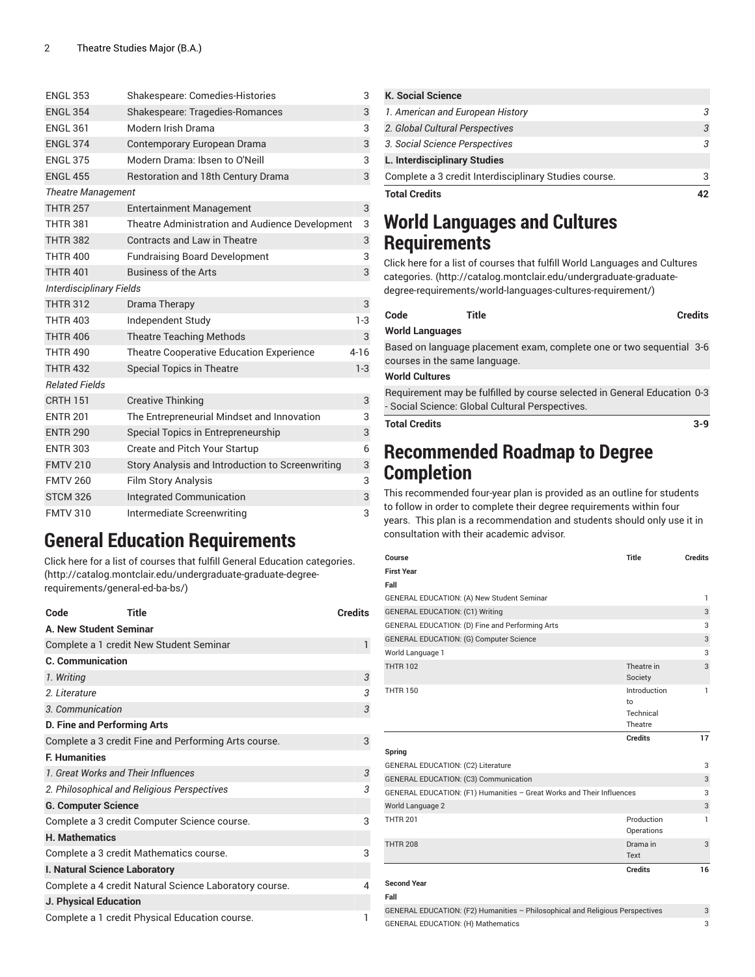| <b>ENGL 353</b>           | Shakespeare: Comedies-Histories                  | 3        |
|---------------------------|--------------------------------------------------|----------|
| <b>ENGL 354</b>           | Shakespeare: Tragedies-Romances                  | 3        |
| <b>ENGL 361</b>           | Modern Irish Drama                               | 3        |
| <b>ENGL 374</b>           | Contemporary European Drama                      | 3        |
| <b>ENGL 375</b>           | Modern Drama: Ibsen to O'Neill                   | 3        |
| <b>ENGL 455</b>           | Restoration and 18th Century Drama               | 3        |
| <b>Theatre Management</b> |                                                  |          |
| <b>THTR 257</b>           | <b>Entertainment Management</b>                  | 3        |
| <b>THTR 381</b>           | Theatre Administration and Audience Development  | 3        |
| <b>THTR 382</b>           | Contracts and Law in Theatre                     | 3        |
| <b>THTR 400</b>           | <b>Fundraising Board Development</b>             | 3        |
| <b>THTR 401</b>           | <b>Business of the Arts</b>                      | 3        |
| Interdisciplinary Fields  |                                                  |          |
| <b>THTR 312</b>           | Drama Therapy                                    | 3        |
| <b>THTR 403</b>           | Independent Study                                | $1-3$    |
| <b>THTR 406</b>           | <b>Theatre Teaching Methods</b>                  | 3        |
| <b>THTR 490</b>           | <b>Theatre Cooperative Education Experience</b>  | $4 - 16$ |
| <b>THTR 432</b>           | <b>Special Topics in Theatre</b>                 | $1-3$    |
| <b>Related Fields</b>     |                                                  |          |
| <b>CRTH 151</b>           | <b>Creative Thinking</b>                         | 3        |
| <b>ENTR 201</b>           | The Entrepreneurial Mindset and Innovation       | 3        |
| <b>ENTR 290</b>           | Special Topics in Entrepreneurship               | 3        |
| <b>ENTR 303</b>           | Create and Pitch Your Startup                    | 6        |
| <b>FMTV 210</b>           | Story Analysis and Introduction to Screenwriting | 3        |
| <b>FMTV 260</b>           | <b>Film Story Analysis</b>                       | 3        |
| <b>STCM 326</b>           | <b>Integrated Communication</b>                  | 3        |
| <b>FMTV 310</b>           | Intermediate Screenwriting                       | 3        |

### **General Education Requirements**

Click here for a list of courses that fulfill General Education [categories.](http://catalog.montclair.edu/undergraduate-graduate-degree-requirements/general-ed-ba-bs/) ([http://catalog.montclair.edu/undergraduate-graduate-degree](http://catalog.montclair.edu/undergraduate-graduate-degree-requirements/general-ed-ba-bs/)[requirements/general-ed-ba-bs/\)](http://catalog.montclair.edu/undergraduate-graduate-degree-requirements/general-ed-ba-bs/)

| <b>Title</b><br>Code                                   | <b>Credits</b> |
|--------------------------------------------------------|----------------|
| A. New Student Seminar                                 |                |
| Complete a 1 credit New Student Seminar                | $\mathbf{1}$   |
| <b>C. Communication</b>                                |                |
| 1. Writing                                             | 3              |
| 2. Literature                                          | 3              |
| 3. Communication                                       | 3              |
| <b>D. Fine and Performing Arts</b>                     |                |
| Complete a 3 credit Fine and Performing Arts course.   | 3              |
| <b>F. Humanities</b>                                   |                |
| 1. Great Works and Their Influences                    | 3              |
| 2. Philosophical and Religious Perspectives            | 3              |
| <b>G. Computer Science</b>                             |                |
| Complete a 3 credit Computer Science course.           | 3              |
| <b>H. Mathematics</b>                                  |                |
| Complete a 3 credit Mathematics course.                | 3              |
| I. Natural Science Laboratory                          |                |
| Complete a 4 credit Natural Science Laboratory course. | 4              |
| J. Physical Education                                  |                |
| Complete a 1 credit Physical Education course.         |                |

| <b>Total Credits</b>                                  |  |
|-------------------------------------------------------|--|
| Complete a 3 credit Interdisciplinary Studies course. |  |
| L. Interdisciplinary Studies                          |  |
| 3. Social Science Perspectives                        |  |
| 2. Global Cultural Perspectives                       |  |
| 1. American and European History                      |  |
| <b>K. Social Science</b>                              |  |

### **World Languages and Cultures Requirements**

Click here for a list of courses that fulfill World [Languages](http://catalog.montclair.edu/undergraduate-graduate-degree-requirements/world-languages-cultures-requirement/) and Cultures [categories.](http://catalog.montclair.edu/undergraduate-graduate-degree-requirements/world-languages-cultures-requirement/) [\(http://catalog.montclair.edu/undergraduate-graduate](http://catalog.montclair.edu/undergraduate-graduate-degree-requirements/world-languages-cultures-requirement/)[degree-requirements/world-languages-cultures-requirement/\)](http://catalog.montclair.edu/undergraduate-graduate-degree-requirements/world-languages-cultures-requirement/)

| 3        |                               |                                                                                                                             |                |
|----------|-------------------------------|-----------------------------------------------------------------------------------------------------------------------------|----------------|
| $1 - 3$  | Code                          | Title                                                                                                                       | <b>Credits</b> |
| 3        | <b>World Languages</b>        |                                                                                                                             |                |
| $4 - 16$ | courses in the same language. | Based on language placement exam, complete one or two sequential 3-6                                                        |                |
| $1-3$    | <b>World Cultures</b>         |                                                                                                                             |                |
| 3        |                               | Requirement may be fulfilled by course selected in General Education 0-3<br>- Social Science: Global Cultural Perspectives. |                |
| 3        | Total Credits                 |                                                                                                                             |                |

#### **Recommended Roadmap to Degree Completion**

This recommended four-year plan is provided as an outline for students to follow in order to complete their degree requirements within four years. This plan is a recommendation and students should only use it in consultation with their academic advisor.

| Course                                                                | <b>Title</b>                               | <b>Credits</b> |
|-----------------------------------------------------------------------|--------------------------------------------|----------------|
| <b>First Year</b>                                                     |                                            |                |
| Fall                                                                  |                                            |                |
| GENERAL EDUCATION: (A) New Student Seminar                            |                                            | $\mathbf{1}$   |
| <b>GENERAL EDUCATION: (C1) Writing</b>                                |                                            | 3              |
| GENERAL EDUCATION: (D) Fine and Performing Arts                       |                                            | 3              |
| GENERAL EDUCATION: (G) Computer Science                               |                                            | 3              |
| World Language 1                                                      |                                            | 3              |
| <b>THTR 102</b>                                                       | Theatre in<br>Society                      | 3              |
| <b>THTR 150</b>                                                       | Introduction<br>to<br>Technical<br>Theatre | $\mathbf{1}$   |
|                                                                       | <b>Credits</b>                             | 17             |
| Spring                                                                |                                            |                |
| GENERAL EDUCATION: (C2) Literature                                    |                                            | 3              |
| GENERAL EDUCATION: (C3) Communication                                 |                                            | 3              |
| GENERAL EDUCATION: (F1) Humanities - Great Works and Their Influences |                                            | 3              |
| World Language 2                                                      |                                            | 3              |
| <b>THTR 201</b>                                                       | Production<br>Operations                   | 1              |
| <b>THTR 208</b>                                                       | Drama in<br>Text                           | 3              |
|                                                                       | <b>Credits</b>                             | 16             |
| <b>Second Year</b>                                                    |                                            |                |
| Fall                                                                  |                                            |                |

| GENERAL EDUCATION: (F2) Humanities - Philosophical and Religious Perspectives |  |
|-------------------------------------------------------------------------------|--|
| <b>GENERAL EDUCATION: (H) Mathematics</b>                                     |  |